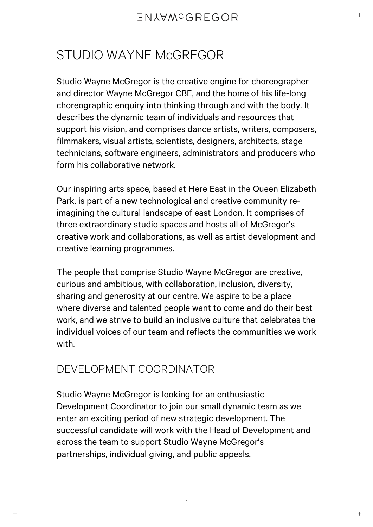# STUDIO WAYNE McGREGOR

Studio Wayne McGregor is the creative engine for choreographer and director Wayne McGregor CBE, and the home of his life-long choreographic enquiry into thinking through and with the body. It describes the dynamic team of individuals and resources that support his vision, and comprises dance artists, writers, composers, filmmakers, visual artists, scientists, designers, architects, stage technicians, software engineers, administrators and producers who form his collaborative network.

Our inspiring arts space, based at Here East in the Queen Elizabeth Park, is part of a new technological and creative community reimagining the cultural landscape of east London. It comprises of three extraordinary studio spaces and hosts all of McGregor's creative work and collaborations, as well as artist development and creative learning programmes.

The people that comprise Studio Wayne McGregor are creative, curious and ambitious, with collaboration, inclusion, diversity, sharing and generosity at our centre. We aspire to be a place where diverse and talented people want to come and do their best work, and we strive to build an inclusive culture that celebrates the individual voices of our team and reflects the communities we work with.

# DEVELOPMENT COORDINATOR

Studio Wayne McGregor is looking for an enthusiastic Development Coordinator to join our small dynamic team as we enter an exciting period of new strategic development. The successful candidate will work with the Head of Development and across the team to support Studio Wayne McGregor's partnerships, individual giving, and public appeals.

1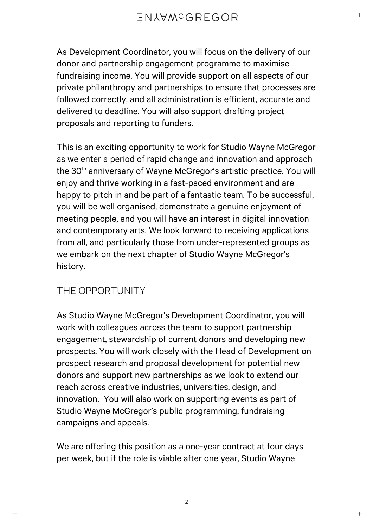As Development Coordinator, you will focus on the delivery of our donor and partnership engagement programme to maximise fundraising income. You will provide support on all aspects of our private philanthropy and partnerships to ensure that processes are followed correctly, and all administration is efficient, accurate and delivered to deadline. You will also support drafting project proposals and reporting to funders.

This is an exciting opportunity to work for Studio Wayne McGregor as we enter a period of rapid change and innovation and approach the 30<sup>th</sup> anniversary of Wayne McGregor's artistic practice. You will enjoy and thrive working in a fast-paced environment and are happy to pitch in and be part of a fantastic team. To be successful, you will be well organised, demonstrate a genuine enjoyment of meeting people, and you will have an interest in digital innovation and contemporary arts. We look forward to receiving applications from all, and particularly those from under-represented groups as we embark on the next chapter of Studio Wayne McGregor's history.

### THE OPPORTUNITY

As Studio Wayne McGregor's Development Coordinator, you will work with colleagues across the team to support partnership engagement, stewardship of current donors and developing new prospects. You will work closely with the Head of Development on prospect research and proposal development for potential new donors and support new partnerships as we look to extend our reach across creative industries, universities, design, and innovation. You will also work on supporting events as part of Studio Wayne McGregor's public programming, fundraising campaigns and appeals.

We are offering this position as a one-year contract at four days per week, but if the role is viable after one year, Studio Wayne

2

 $+$ 

 $\overline{+}$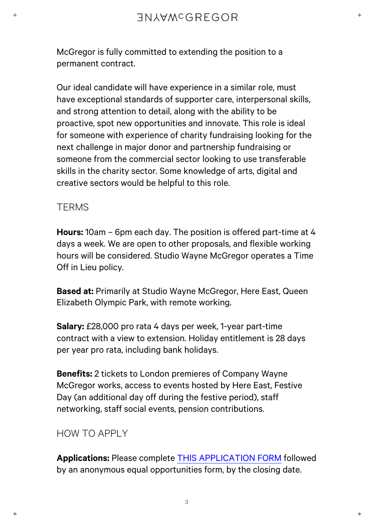McGregor is fully committed to extending the position to a permanent contract.

Our ideal candidate will have experience in a similar role, must have exceptional standards of supporter care, interpersonal skills, and strong attention to detail, along with the ability to be proactive, spot new opportunities and innovate. This role is ideal for someone with experience of charity fundraising looking for the next challenge in major donor and partnership fundraising or someone from the commercial sector looking to use transferable skills in the charity sector. Some knowledge of arts, digital and creative sectors would be helpful to this role.

### **TERMS**

**Hours:** 10am – 6pm each day. The position is offered part-time at 4 days a week. We are open to other proposals, and flexible working hours will be considered. Studio Wayne McGregor operates a Time Off in Lieu policy.

**Based at:** Primarily at Studio Wayne McGregor, Here East, Queen Elizabeth Olympic Park, with remote working.

**Salary:** £28,000 pro rata 4 days per week, 1-year part-time contract with a view to extension. Holiday entitlement is 28 days per year pro rata, including bank holidays.

**Benefits:** 2 tickets to London premieres of Company Wayne McGregor works, access to events hosted by Here East, Festive Day (an additional day off during the festive period), staff networking, staff social events, pension contributions.

### HOW TO APPLY

**Applications:** Please complete [THIS APPLICATION FORM](https://forms.office.com/Pages/ResponsePage.aspx?id=39xVds2RuUuQ8vYQSy0kCf2OF5N0z75Ok4cwb3sbptFUQVc5TFZSRlVLV1JSUUNMUktBRDg5R1pLVCQlQCN0PWcu&wdLOR=c3B289651-4F61-0847-96F2-18EE2A83841C) followed by an anonymous equal opportunities form, by the closing date.

3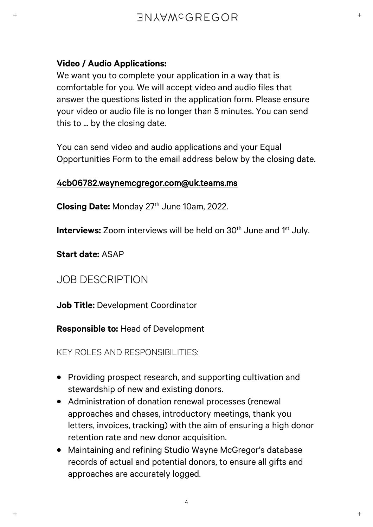#### **Video / Audio Applications:**

We want you to complete your application in a way that is comfortable for you. We will accept video and audio files that answer the questions listed in the application form. Please ensure your video or audio file is no longer than 5 minutes. You can send this to ... by the closing date.

You can send video and audio applications and your Equal Opportunities Form to the email address below by the closing date.

#### 4cb06782.waynemcgregor.com@uk.teams.ms

**Closing Date:** Monday 27<sup>th</sup> June 10am, 2022.

**Interviews:** Zoom interviews will be held on 30<sup>th</sup> June and 1<sup>st</sup> July.

**Start date:** ASAP

# JOB DESCRIPTION

**Job Title:** Development Coordinator

**Responsible to:** Head of Development

KEY ROLES AND RESPONSIBILITIES:

- Providing prospect research, and supporting cultivation and stewardship of new and existing donors.
- Administration of donation renewal processes (renewal approaches and chases, introductory meetings, thank you letters, invoices, tracking) with the aim of ensuring a high donor retention rate and new donor acquisition.
- Maintaining and refining Studio Wayne McGregor's database records of actual and potential donors, to ensure all gifts and approaches are accurately logged.

 $\overline{+}$